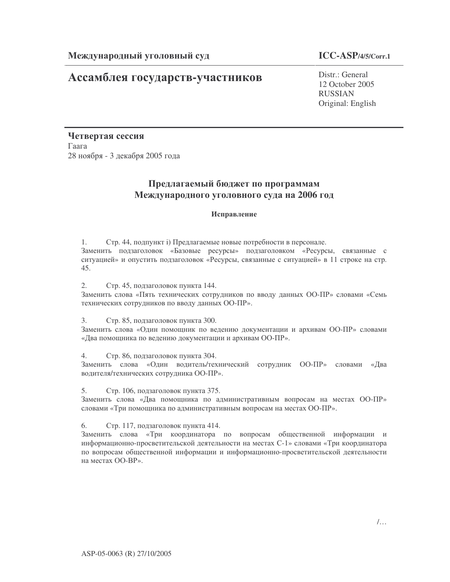# **Ассамблея государств-участников** Distr.: General

12 October 2005 RUSSIAN Original: English

Четвертая сессия  $\Gamma$ аага 28 ноября - 3 декабря 2005 года

## Предлагаемый бюджет по программам Международного уголовного суда на 2006 год

### Исправление

1. Стр. 44, подпункт і) Предлагаемые новые потребности в персонале. Заменить подзаголовок «Базовые ресурсы» подзаголовком «Ресурсы, связанные с ситуацией» и опустить подзаголовок «Ресурсы, связанные с ситуацией» в 11 строке на стр. 45.

2. Стр. 45, подзаголовок пункта 144.

Заменить слова «Пять технических сотрудников по вводу данных ОО-ПР» словами «Семь технических сотрудников по вводу данных ОО-ПР».

3. Стр. 85, подзаголовок пункта 300.

Заменить слова «Один помощник по ведению документации и архивам ОО-ПР» словами «Два помощника по ведению документации и архивам ОО-ПР».

4. Стр. 86, подзаголовок пункта 304.

Заменить слова «Один водитель/технический сотрудник ОО-ПР» словами «Два водителя/технических сотрудника ОО-ПР».

5. Стр. 106, подзаголовок пункта 375.

Заменить слова «Два помощника по административным вопросам на местах ОО-ПР» словами «Три помощника по административным вопросам на местах ОО-ПР».

6. Стр. 117, подзаголовок пункта 414.

Заменить слова «Три координатора по вопросам общественной информации и информационно-просветительской деятельности на местах C-1» словами «Три координатора по вопросам общественной информации и информационно-просветительской деятельности на местах ОО-ВР».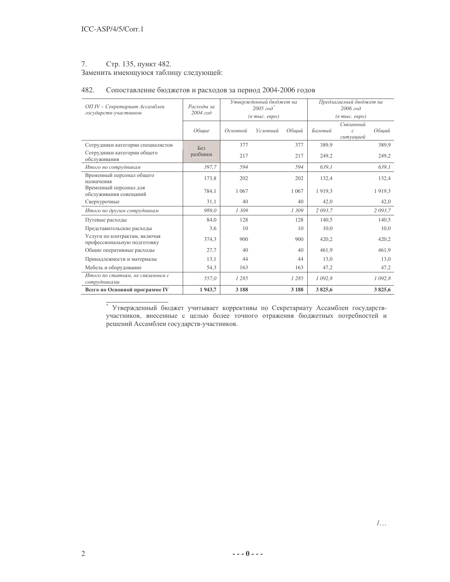### 7. Стр. 135, пункт 482.

Заменить имеющуюся таблицу следующей:

### 482. Сопоставление бюджетов и расходов за период 2004-2006 годов

| ОП IV - Секретариат Ассамблеи                                | Расходы за<br>$2004$ $z$ o $\partial$ |          | Утвержденный бюджет на<br>$2005$ $200^*$ |         | Предлагаемый бюджет на<br>2006 zod<br>$(a \text{ mol.} \text{~e\,})$ |                            |            |  |
|--------------------------------------------------------------|---------------------------------------|----------|------------------------------------------|---------|----------------------------------------------------------------------|----------------------------|------------|--|
| государств-участников                                        |                                       |          | (в тыс. евро)                            |         |                                                                      |                            |            |  |
|                                                              |                                       |          |                                          |         |                                                                      | Связанный                  |            |  |
|                                                              | Обшие                                 | Основной | Условный                                 | Общий   | Базовый                                                              | $\mathcal{C}$<br>cumyayueŭ | Обший      |  |
| Сотрудники категории специалистов                            | Без                                   | 377      |                                          | 377     | 389,9                                                                |                            | 389,9      |  |
| Сотрудники категории общего<br>обслуживания                  | разбивки                              | 217      |                                          | 217     | 249,2                                                                |                            | 249,2      |  |
| Итого по сотрудникам                                         | 397,7                                 | 594      |                                          | 594     | 639.1                                                                |                            | 639.1      |  |
| Временный персонал общего<br>назначения                      | 173,8                                 | 202      |                                          | 202     | 132,4                                                                |                            | 132,4      |  |
| Временный персонал для<br>обслуживания совещаний             | 784,1                                 | 1 0 6 7  |                                          | 1 0 6 7 | 1919,3                                                               |                            | 1919,3     |  |
| Сверхурочные                                                 | 31,1                                  | 40       |                                          | 40      | 42,0                                                                 |                            | 42,0       |  |
| Итого по другим сотрудникам                                  | 989.0                                 | 1309     |                                          | 1309    | 2 093,7                                                              |                            | 2 093,7    |  |
| Путевые расходы                                              | 84,0                                  | 128      |                                          | 128     | 140.5                                                                |                            | 140.5      |  |
| Представительские расходы                                    | 3,6                                   | 10       |                                          | 10      | 10,0                                                                 |                            | 10,0       |  |
| Услуги по контрактам, включая<br>профессиональную подготовку | 374,3                                 | 900      |                                          | 900     | 420,2                                                                |                            | 420,2      |  |
| Общие оперативные расходы                                    | 27,7                                  | 40       |                                          | 40      | 461,9                                                                |                            | 461,9      |  |
| Принадлежности и материалы                                   | 13,1                                  | 44       |                                          | 44      | 13,0                                                                 |                            | 13,0       |  |
| Мебель и оборудование                                        | 54,3                                  | 163      |                                          | 163     | 47,2                                                                 |                            | 47,2       |  |
| Итого по статьям, не связанным с<br>сотрудниками             | 557,0                                 | 1285     |                                          | 1285    | 1 092,8                                                              |                            | 1 0 9 2, 8 |  |
| Всего по Основной программе IV                               | 1943,7                                | 3 1 8 8  |                                          | 3 1 8 8 | 3825,6                                                               |                            | 3825,6     |  |
|                                                              |                                       |          |                                          |         |                                                                      |                            |            |  |

\* Утвержденный бюджет учитывает коррективы по Секретариату Ассамблеи государствучастников, внесенные с целью более точного отражения бюджетных потребностей и решений Ассамблеи государств-участников.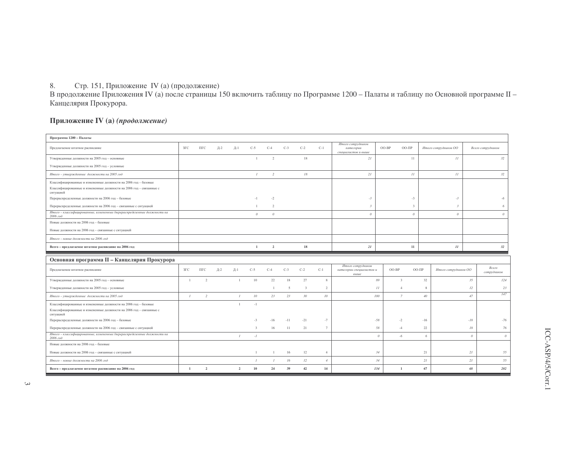8. Стр. 151, Приложение IV (а) (продолжение)<br>В продолжение Приложения IV (а) после страницы 150 включить таблицу по Программе 1200 – Палаты и таблицу по Основной программе II – Канцелярия Прокурора.

### Приложение IV (а) (продолжение)

| Программа 1200 - Палаты                                                                                                                             |               |                |     |                 |                 |                |       |                |                 |                                                       |                      |               |                      |          |                      |
|-----------------------------------------------------------------------------------------------------------------------------------------------------|---------------|----------------|-----|-----------------|-----------------|----------------|-------|----------------|-----------------|-------------------------------------------------------|----------------------|---------------|----------------------|----------|----------------------|
| Предлагаемое штатное расписание                                                                                                                     | $3\Gamma C$   | $\Pi\Gamma C$  | Д-2 | $\mathbb{H}-1$  | $C-5$           | $C-4$          | $C-3$ | $C-2$          | $C-1$           | Итого сотрудников<br>категории<br>специалистов и выше | $OO-BP$              | $OO-III$ P    | Итого сотрудников ОО |          | Всего сотрудников    |
| Утвержденные должности на 2005 год - основные                                                                                                       |               |                |     |                 | $\overline{1}$  | 2              |       | 18             |                 | 21                                                    |                      | 11            | 11                   |          | 32                   |
| Утвержденные должности на 2005 год - условные                                                                                                       |               |                |     |                 |                 |                |       |                |                 |                                                       |                      |               |                      |          |                      |
| Итого - утвержденные должности на 2005 год                                                                                                          |               |                |     |                 | $\mathcal{I}$   | $\overline{2}$ |       | 18             |                 | 21                                                    |                      | 11            | 11                   |          | 32                   |
| Классифицированные и измененные должности на 2006 год - базовые<br>Классифицированные и измененные должности на 2006 год - связанные с<br>ситуацией |               |                |     |                 |                 |                |       |                |                 |                                                       |                      |               |                      |          |                      |
| Перераспределенные должности на 2006 год - базовые                                                                                                  |               |                |     |                 | $-1$            | $-2$           |       |                |                 | $-3$                                                  |                      | $-3$          | $-3$                 |          | -6                   |
| Перераспределенные должности на 2006 год - связанные с ситуацией                                                                                    |               |                |     |                 | $\overline{1}$  | $\mathcal{D}$  |       |                |                 | $\mathcal{R}$                                         |                      | $\mathcal{R}$ | $\overline{3}$       |          | 6                    |
| Итого - классифицированные, измененные /перераспределенные должности на<br>2006 год                                                                 |               |                |     |                 | $\theta$        | $\theta$       |       |                |                 | $\theta$                                              |                      | $\theta$      | $\theta$             |          | $\theta$             |
| Новые лолжности на 2006 год - базовые                                                                                                               |               |                |     |                 |                 |                |       |                |                 |                                                       |                      |               |                      |          |                      |
| Новые должности на 2006 год - связанные с ситуацией                                                                                                 |               |                |     |                 |                 |                |       |                |                 |                                                       |                      |               |                      |          |                      |
| Итого - новые должности на 2006 год                                                                                                                 |               |                |     |                 |                 |                |       |                |                 |                                                       |                      |               |                      |          |                      |
| Всего - предлагаемое штатное расписание на 2006 год                                                                                                 |               |                |     |                 | $\mathbf{1}$    | $\overline{2}$ |       | 18             |                 | 21                                                    |                      | $11\,$        | $11\,$               |          | 32                   |
|                                                                                                                                                     |               |                |     |                 |                 |                |       |                |                 |                                                       |                      |               |                      |          |                      |
|                                                                                                                                                     |               |                |     |                 |                 |                |       |                |                 |                                                       |                      |               |                      |          |                      |
| Основная программа II - Канцелярия Прокурора<br>Предлагаемое штатное расписание                                                                     | $3\Gamma C$   | $\Pi\Gamma C$  | Д-2 | $\mathbb{A}$ -1 | $C-5$           | $C-4$          | $C-3$ | $C-2$          | $C-1$           | Итого сотрудников<br>категории специалистов и<br>выше | $OO-BP$              | $OO-III$      | Итого сотрудников ОО |          | Всего<br>сотрудников |
| Утвержденные должности на 2005 год - основные                                                                                                       | $\mathbf{1}$  | $\overline{2}$ |     | <sup>1</sup>    | 10              | 22             | 18    | 27             | 8               |                                                       | 89<br>$\mathcal{R}$  |               | 32                   | 35       | 124                  |
| Утвержденные должности на 2005 год - условные                                                                                                       |               |                |     |                 |                 | $\overline{1}$ | 5     | $\overline{3}$ | $\overline{2}$  |                                                       | II<br>$\overline{4}$ |               | $\mathbf{\hat{z}}$   | $12\,$   | 23                   |
| Итого - утвержденные должности на 2005 год                                                                                                          | $\mathcal{I}$ | 2              |     | $\mathcal{I}$   | 10 <sup>°</sup> | 23             | 23    | 30             | 10 <sup>°</sup> |                                                       | $\mathcal{I}$<br>100 |               | 40 <sup>°</sup>      | 47       | 147                  |
| Классифицированные и измененные должности на 2006 год - базовые<br>Классифицированные и измененные должности на 2006 год - связанные с<br>ситуацией |               |                |     | $\overline{1}$  | $-1$            |                |       |                |                 |                                                       |                      |               |                      |          |                      |
| Перераспределенные должности на 2006 год - базовые                                                                                                  |               |                |     |                 | $-3$            | $-16$          | $-11$ | $-21$          | $-7$            |                                                       | $-58$<br>$-2$        |               | $-16$                | $-18$    | $-76$                |
| Перераспределенные должности на 2006 год - связанные с ситуацией                                                                                    |               |                |     |                 | $\mathbf{3}$    | 16             | 11    | 21             | $7\phantom{.0}$ |                                                       | 58<br>$-4$           |               | 22                   | 18       | 76                   |
| Итого - классифицированные, измененные /перераспределенные должности на<br>2006 год                                                                 |               |                |     | $\mathcal{I}$   | $-I$            |                |       |                |                 |                                                       | $\theta$<br>$-6$     |               | 6                    | $\theta$ | $\mathcal{O}$        |
| Новые лолжности на 2006 год - базовые                                                                                                               |               |                |     |                 |                 |                |       |                |                 |                                                       |                      |               |                      |          |                      |
| Новые должности на 2006 год - связанные с ситуацией                                                                                                 |               |                |     |                 | $\mathbf{1}$    | $\overline{1}$ | 16    | 12             | $\overline{4}$  |                                                       | 34                   |               | 21                   | 21       | 55                   |
| Итого - новые должности на 2006 год                                                                                                                 |               |                |     |                 | $\mathcal{I}$   | $\mathcal{I}$  | 16    | 12             | $\overline{4}$  |                                                       | 34                   |               | 21                   | 21       | 55                   |